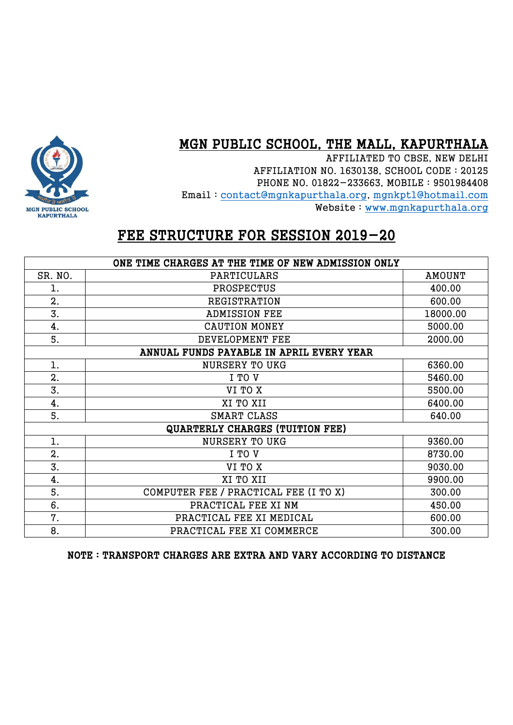### MGN PUBLIC SCHOOL, THE MALL, KAPURTHALA

AFFILIATED TO CBSE, NEW DELHI AFFILIATION NO. 1630138, SCHOOL CODE : 20125 PHONE NO. 01822-233663, MOBILE : 9501984408 Email : [contact@mgnkapurthala.org,](mailto:contact@mgnkapurthala.org) [mgnkpt1@hotmail.com](mailto:mgnkpt1@hotmail.com) Website : [www.mgnkapurthala.org](http://www.mgnkapurthala.org/)



## FEE STRUCTURE FOR SESSION 2019-20

| ONE TIME CHARGES AT THE TIME OF NEW ADMISSION ONLY |                                       |               |  |  |
|----------------------------------------------------|---------------------------------------|---------------|--|--|
| SR. NO.                                            | PARTICULARS                           | <b>AMOUNT</b> |  |  |
| 1.                                                 | PROSPECTUS                            | 400.00        |  |  |
| 2.                                                 | REGISTRATION                          | 600.00        |  |  |
| 3.                                                 | <b>ADMISSION FEE</b>                  | 18000.00      |  |  |
| 4.                                                 | <b>CAUTION MONEY</b>                  | 5000.00       |  |  |
| 5.                                                 | DEVELOPMENT FEE                       | 2000.00       |  |  |
| ANNUAL FUNDS PAYABLE IN APRIL EVERY YEAR           |                                       |               |  |  |
| 1.                                                 | <b>NURSERY TO UKG</b>                 | 6360.00       |  |  |
| 2.                                                 | I TO V                                | 5460.00       |  |  |
| 3.                                                 | VI TO X                               | 5500.00       |  |  |
| 4.                                                 | XI TO XII                             | 6400.00       |  |  |
| 5.                                                 | SMART CLASS                           | 640.00        |  |  |
| <b>QUARTERLY CHARGES (TUITION FEE)</b>             |                                       |               |  |  |
| l.                                                 | <b>NURSERY TO UKG</b>                 | 9360.00       |  |  |
| 2.                                                 | I TO V                                | 8730.00       |  |  |
| 3.                                                 | VI TO X                               | 9030.00       |  |  |
| 4.                                                 | XI TO XII                             | 9900.00       |  |  |
| 5.                                                 | COMPUTER FEE / PRACTICAL FEE (I TO X) | 300.00        |  |  |
| 6.                                                 | PRACTICAL FEE XI NM                   | 450.00        |  |  |
| 7.                                                 | PRACTICAL FEE XI MEDICAL              | 600.00        |  |  |
| 8.                                                 | PRACTICAL FEE XI COMMERCE             | 300.00        |  |  |

NOTE : TRANSPORT CHARGES ARE EXTRA AND VARY ACCORDING TO DISTANCE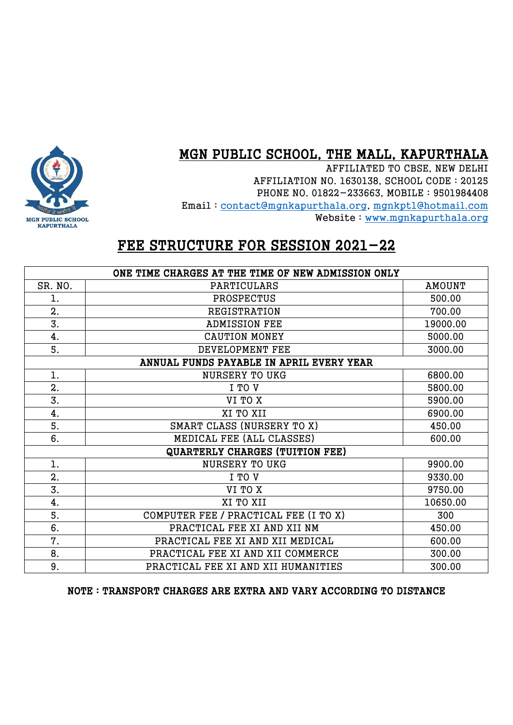#### MGN PUBLIC SCHOOL, THE MALL, KAPURTHALA

AFFILIATED TO CBSE, NEW DELHI AFFILIATION NO. 1630138, SCHOOL CODE : 20125 PHONE NO. 01822-233663, MOBILE : 9501984408 Email : [contact@mgnkapurthala.org,](mailto:contact@mgnkapurthala.org) [mgnkpt1@hotmail.com](mailto:mgnkpt1@hotmail.com) Website : [www.mgnkapurthala.org](http://www.mgnkapurthala.org/)



| ONE TIME CHARGES AT THE TIME OF NEW ADMISSION ONLY |                                        |               |  |  |
|----------------------------------------------------|----------------------------------------|---------------|--|--|
| SR. NO.                                            | PARTICULARS                            | <b>AMOUNT</b> |  |  |
| 1.                                                 | PROSPECTUS                             | 500.00        |  |  |
| $\mathbf{2}$ .                                     | <b>REGISTRATION</b>                    | 700.00        |  |  |
| 3.                                                 | <b>ADMISSION FEE</b>                   | 19000.00      |  |  |
| 4.                                                 | <b>CAUTION MONEY</b>                   | 5000.00       |  |  |
| 5.                                                 | DEVELOPMENT FEE                        | 3000.00       |  |  |
| ANNUAL FUNDS PAYABLE IN APRIL EVERY YEAR           |                                        |               |  |  |
| 1.                                                 | <b>NURSERY TO UKG</b>                  | 6800.00       |  |  |
| $\mathbf{2}$ .                                     | I TO V                                 | 5800.00       |  |  |
| 3.                                                 | VI TO X                                | 5900.00       |  |  |
| 4.                                                 | XI TO XII                              | 6900.00       |  |  |
| 5.                                                 | SMART CLASS (NURSERY TO X)             | 450.00        |  |  |
| 6.                                                 | MEDICAL FEE (ALL CLASSES)              | 600.00        |  |  |
|                                                    | <b>QUARTERLY CHARGES (TUITION FEE)</b> |               |  |  |
| 1.                                                 | <b>NURSERY TO UKG</b>                  | 9900.00       |  |  |
| $\mathbf{2}$ .                                     | I TO V                                 | 9330.00       |  |  |
| 3.                                                 | VI TO X                                | 9750.00       |  |  |
| 4.                                                 | XI TO XII                              | 10650.00      |  |  |
| 5.                                                 | COMPUTER FEE / PRACTICAL FEE (I TO X)  | 300           |  |  |
| 6.                                                 | PRACTICAL FEE XI AND XII NM            | 450.00        |  |  |
| 7.                                                 | PRACTICAL FEE XI AND XII MEDICAL       | 600.00        |  |  |
| 8.                                                 | PRACTICAL FEE XI AND XII COMMERCE      | 300.00        |  |  |
| 9.                                                 | PRACTICAL FEE XI AND XII HUMANITIES    | 300.00        |  |  |

NOTE : TRANSPORT CHARGES ARE EXTRA AND VARY ACCORDING TO DISTANCE